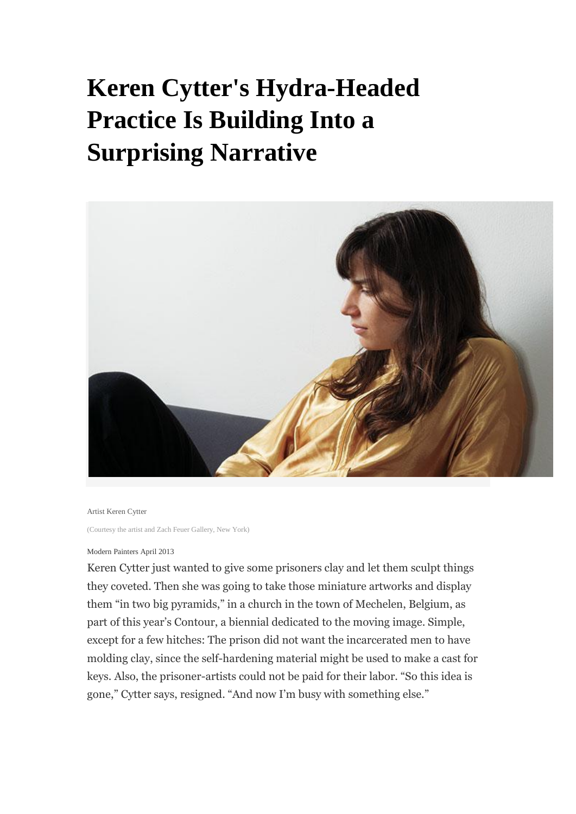## **Keren Cytter's Hydra-Headed Practice Is Building Into a Surprising Narrative**



## Artist Keren Cytter

(Courtesy the artist and Zach Feuer Gallery, New York)

## Modern Painters April 2013

Keren Cytter just wanted to give some prisoners clay and let them sculpt things they coveted. Then she was going to take those miniature artworks and display them "in two big pyramids," in a church in the town of Mechelen, Belgium, as part of this year's Contour, a biennial dedicated to the moving image. Simple, except for a few hitches: The prison did not want the incarcerated men to have molding clay, since the self-hardening material might be used to make a cast for keys. Also, the prisoner-artists could not be paid for their labor. "So this idea is gone," Cytter says, resigned. "And now I'm busy with something else."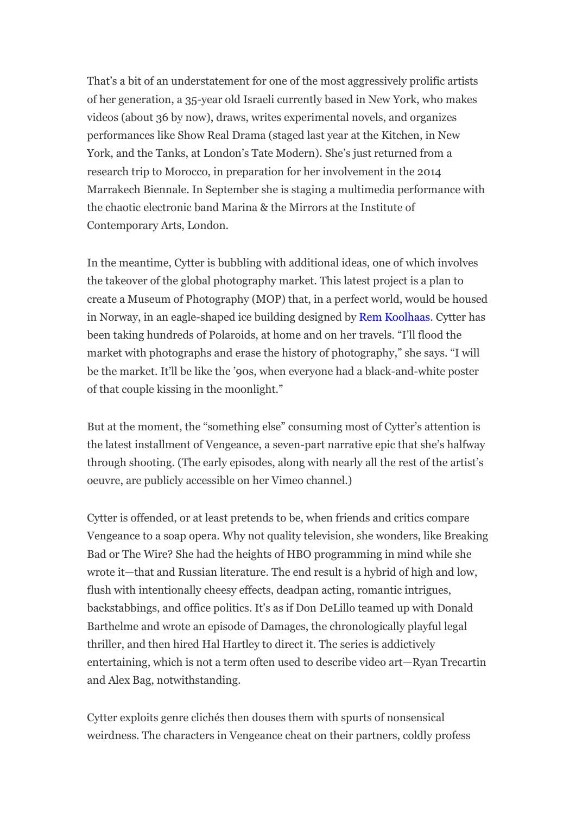That's a bit of an understatement for one of the most aggressively prolific artists of her generation, a 35-year old Israeli currently based in New York, who makes videos (about 36 by now), draws, writes experimental novels, and organizes performances like Show Real Drama (staged last year at the Kitchen, in New York, and the Tanks, at London's Tate Modern). She's just returned from a research trip to Morocco, in preparation for her involvement in the 2014 Marrakech Biennale. In September she is staging a multimedia performance with the chaotic electronic band Marina & the Mirrors at the Institute of Contemporary Arts, London.

In the meantime, Cytter is bubbling with additional ideas, one of which involves the takeover of the global photography market. This latest project is a plan to create a Museum of Photography (MOP) that, in a perfect world, would be housed in Norway, in an eagle-shaped ice building designed by [Rem Koolhaas.](http://www.blouinartinfo.com/artists/216720-rem-koolhaas) Cytter has been taking hundreds of Polaroids, at home and on her travels. "I'll flood the market with photographs and erase the history of photography," she says. "I will be the market. It'll be like the '90s, when everyone had a black-and-white poster of that couple kissing in the moonlight."

But at the moment, the "something else" consuming most of Cytter's attention is the latest installment of Vengeance, a seven-part narrative epic that she's halfway through shooting. (The early episodes, along with nearly all the rest of the artist's oeuvre, are publicly accessible on her Vimeo channel.)

Cytter is offended, or at least pretends to be, when friends and critics compare Vengeance to a soap opera. Why not quality television, she wonders, like Breaking Bad or The Wire? She had the heights of HBO programming in mind while she wrote it—that and Russian literature. The end result is a hybrid of high and low, flush with intentionally cheesy effects, deadpan acting, romantic intrigues, backstabbings, and office politics. It's as if Don DeLillo teamed up with Donald Barthelme and wrote an episode of Damages, the chronologically playful legal thriller, and then hired Hal Hartley to direct it. The series is addictively entertaining, which is not a term often used to describe video art—Ryan Trecartin and Alex Bag, notwithstanding.

Cytter exploits genre clichés then douses them with spurts of nonsensical weirdness. The characters in Vengeance cheat on their partners, coldly profess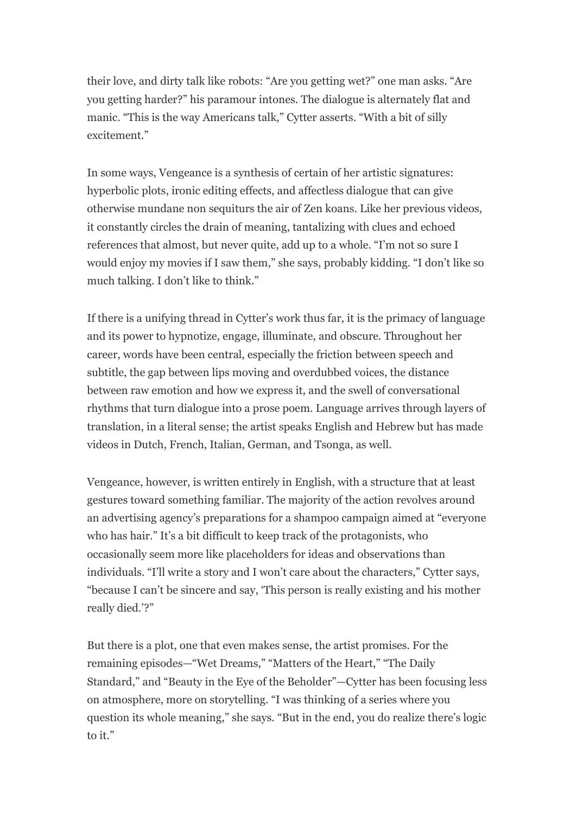their love, and dirty talk like robots: "Are you getting wet?" one man asks. "Are you getting harder?" his paramour intones. The dialogue is alternately flat and manic. "This is the way Americans talk," Cytter asserts. "With a bit of silly excitement."

In some ways, Vengeance is a synthesis of certain of her artistic signatures: hyperbolic plots, ironic editing effects, and affectless dialogue that can give otherwise mundane non sequiturs the air of Zen koans. Like her previous videos, it constantly circles the drain of meaning, tantalizing with clues and echoed references that almost, but never quite, add up to a whole. "I'm not so sure I would enjoy my movies if I saw them," she says, probably kidding. "I don't like so much talking. I don't like to think."

If there is a unifying thread in Cytter's work thus far, it is the primacy of language and its power to hypnotize, engage, illuminate, and obscure. Throughout her career, words have been central, especially the friction between speech and subtitle, the gap between lips moving and overdubbed voices, the distance between raw emotion and how we express it, and the swell of conversational rhythms that turn dialogue into a prose poem. Language arrives through layers of translation, in a literal sense; the artist speaks English and Hebrew but has made videos in Dutch, French, Italian, German, and Tsonga, as well.

Vengeance, however, is written entirely in English, with a structure that at least gestures toward something familiar. The majority of the action revolves around an advertising agency's preparations for a shampoo campaign aimed at "everyone who has hair." It's a bit difficult to keep track of the protagonists, who occasionally seem more like placeholders for ideas and observations than individuals. "I'll write a story and I won't care about the characters," Cytter says, "because I can't be sincere and say, 'This person is really existing and his mother really died.'?"

But there is a plot, one that even makes sense, the artist promises. For the remaining episodes—"Wet Dreams," "Matters of the Heart," "The Daily Standard," and "Beauty in the Eye of the Beholder"—Cytter has been focusing less on atmosphere, more on storytelling. "I was thinking of a series where you question its whole meaning," she says. "But in the end, you do realize there's logic to it."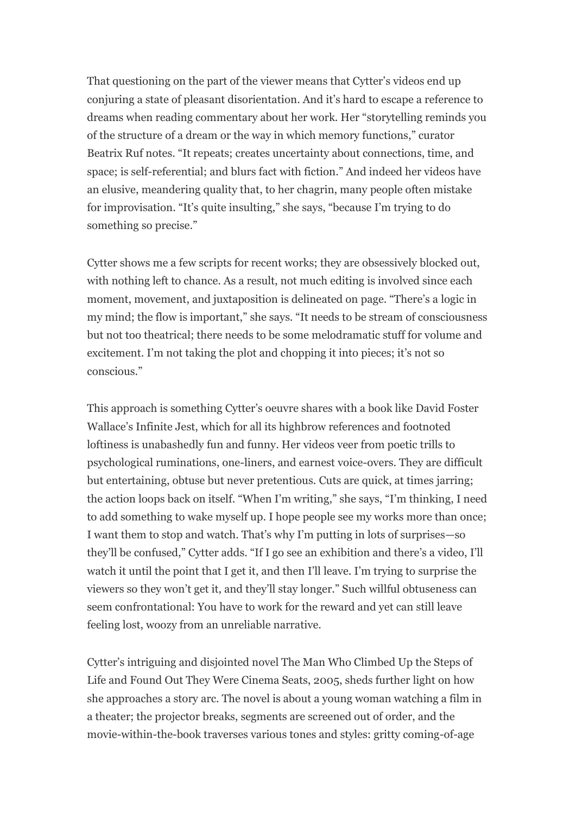That questioning on the part of the viewer means that Cytter's videos end up conjuring a state of pleasant disorientation. And it's hard to escape a reference to dreams when reading commentary about her work. Her "storytelling reminds you of the structure of a dream or the way in which memory functions," curator Beatrix Ruf notes. "It repeats; creates uncertainty about connections, time, and space; is self-referential; and blurs fact with fiction." And indeed her videos have an elusive, meandering quality that, to her chagrin, many people often mistake for improvisation. "It's quite insulting," she says, "because I'm trying to do something so precise."

Cytter shows me a few scripts for recent works; they are obsessively blocked out, with nothing left to chance. As a result, not much editing is involved since each moment, movement, and juxtaposition is delineated on page. "There's a logic in my mind; the flow is important," she says. "It needs to be stream of consciousness but not too theatrical; there needs to be some melodramatic stuff for volume and excitement. I'm not taking the plot and chopping it into pieces; it's not so conscious."

This approach is something Cytter's oeuvre shares with a book like David Foster Wallace's Infinite Jest, which for all its highbrow references and footnoted loftiness is unabashedly fun and funny. Her videos veer from poetic trills to psychological ruminations, one-liners, and earnest voice-overs. They are difficult but entertaining, obtuse but never pretentious. Cuts are quick, at times jarring; the action loops back on itself. "When I'm writing," she says, "I'm thinking, I need to add something to wake myself up. I hope people see my works more than once; I want them to stop and watch. That's why I'm putting in lots of surprises—so they'll be confused," Cytter adds. "If I go see an exhibition and there's a video, I'll watch it until the point that I get it, and then I'll leave. I'm trying to surprise the viewers so they won't get it, and they'll stay longer." Such willful obtuseness can seem confrontational: You have to work for the reward and yet can still leave feeling lost, woozy from an unreliable narrative.

Cytter's intriguing and disjointed novel The Man Who Climbed Up the Steps of Life and Found Out They Were Cinema Seats, 2005, sheds further light on how she approaches a story arc. The novel is about a young woman watching a film in a theater; the projector breaks, segments are screened out of order, and the movie-within-the-book traverses various tones and styles: gritty coming-of-age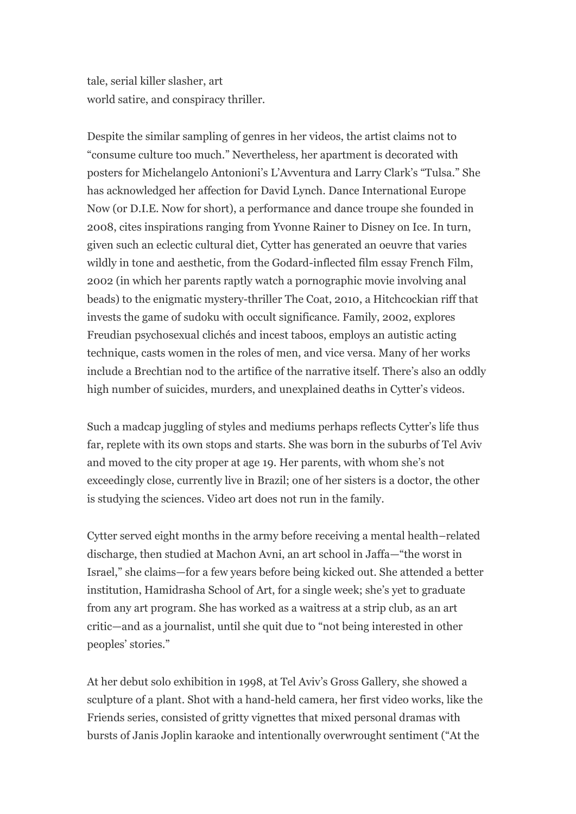tale, serial killer slasher, art world satire, and conspiracy thriller.

Despite the similar sampling of genres in her videos, the artist claims not to "consume culture too much." Nevertheless, her apartment is decorated with posters for Michelangelo Antonioni's L'Avventura and Larry Clark's "Tulsa." She has acknowledged her affection for David Lynch. Dance International Europe Now (or D.I.E. Now for short), a performance and dance troupe she founded in 2008, cites inspirations ranging from Yvonne Rainer to Disney on Ice. In turn, given such an eclectic cultural diet, Cytter has generated an oeuvre that varies wildly in tone and aesthetic, from the Godard-inflected film essay French Film, 2002 (in which her parents raptly watch a pornographic movie involving anal beads) to the enigmatic mystery-thriller The Coat, 2010, a Hitchcockian riff that invests the game of sudoku with occult significance. Family, 2002, explores Freudian psychosexual clichés and incest taboos, employs an autistic acting technique, casts women in the roles of men, and vice versa. Many of her works include a Brechtian nod to the artifice of the narrative itself. There's also an oddly high number of suicides, murders, and unexplained deaths in Cytter's videos.

Such a madcap juggling of styles and mediums perhaps reflects Cytter's life thus far, replete with its own stops and starts. She was born in the suburbs of Tel Aviv and moved to the city proper at age 19. Her parents, with whom she's not exceedingly close, currently live in Brazil; one of her sisters is a doctor, the other is studying the sciences. Video art does not run in the family.

Cytter served eight months in the army before receiving a mental health–related discharge, then studied at Machon Avni, an art school in Jaffa—"the worst in Israel," she claims—for a few years before being kicked out. She attended a better institution, Hamidrasha School of Art, for a single week; she's yet to graduate from any art program. She has worked as a waitress at a strip club, as an art critic—and as a journalist, until she quit due to "not being interested in other peoples' stories."

At her debut solo exhibition in 1998, at Tel Aviv's Gross Gallery, she showed a sculpture of a plant. Shot with a hand-held camera, her first video works, like the Friends series, consisted of gritty vignettes that mixed personal dramas with bursts of Janis Joplin karaoke and intentionally overwrought sentiment ("At the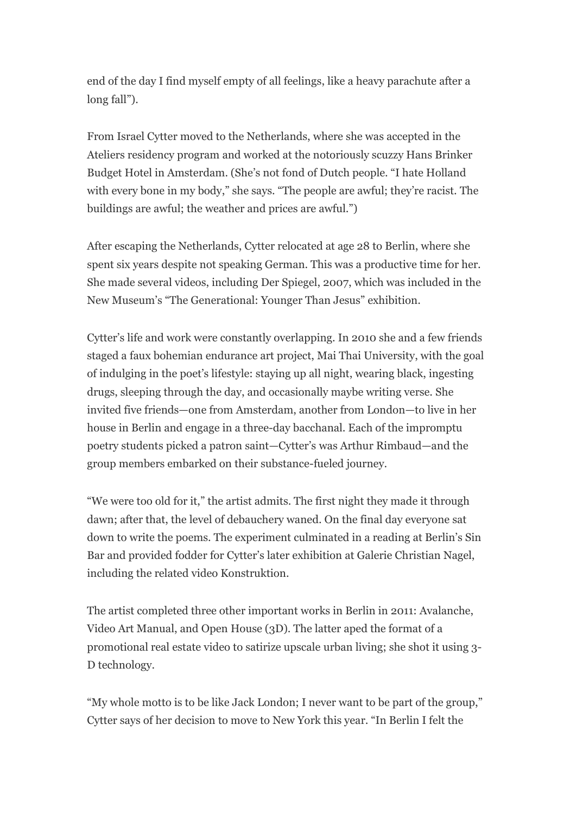end of the day I find myself empty of all feelings, like a heavy parachute after a long fall").

From Israel Cytter moved to the Netherlands, where she was accepted in the Ateliers residency program and worked at the notoriously scuzzy Hans Brinker Budget Hotel in Amsterdam. (She's not fond of Dutch people. "I hate Holland with every bone in my body," she says. "The people are awful; they're racist. The buildings are awful; the weather and prices are awful.")

After escaping the Netherlands, Cytter relocated at age 28 to Berlin, where she spent six years despite not speaking German. This was a productive time for her. She made several videos, including Der Spiegel, 2007, which was included in the New Museum's "The Generational: Younger Than Jesus" exhibition.

Cytter's life and work were constantly overlapping. In 2010 she and a few friends staged a faux bohemian endurance art project, Mai Thai University, with the goal of indulging in the poet's lifestyle: staying up all night, wearing black, ingesting drugs, sleeping through the day, and occasionally maybe writing verse. She invited five friends—one from Amsterdam, another from London—to live in her house in Berlin and engage in a three-day bacchanal. Each of the impromptu poetry students picked a patron saint—Cytter's was Arthur Rimbaud—and the group members embarked on their substance-fueled journey.

"We were too old for it," the artist admits. The first night they made it through dawn; after that, the level of debauchery waned. On the final day everyone sat down to write the poems. The experiment culminated in a reading at Berlin's Sin Bar and provided fodder for Cytter's later exhibition at Galerie Christian Nagel, including the related video Konstruktion.

The artist completed three other important works in Berlin in 2011: Avalanche, Video Art Manual, and Open House (3D). The latter aped the format of a promotional real estate video to satirize upscale urban living; she shot it using 3- D technology.

"My whole motto is to be like Jack London; I never want to be part of the group," Cytter says of her decision to move to New York this year. "In Berlin I felt the